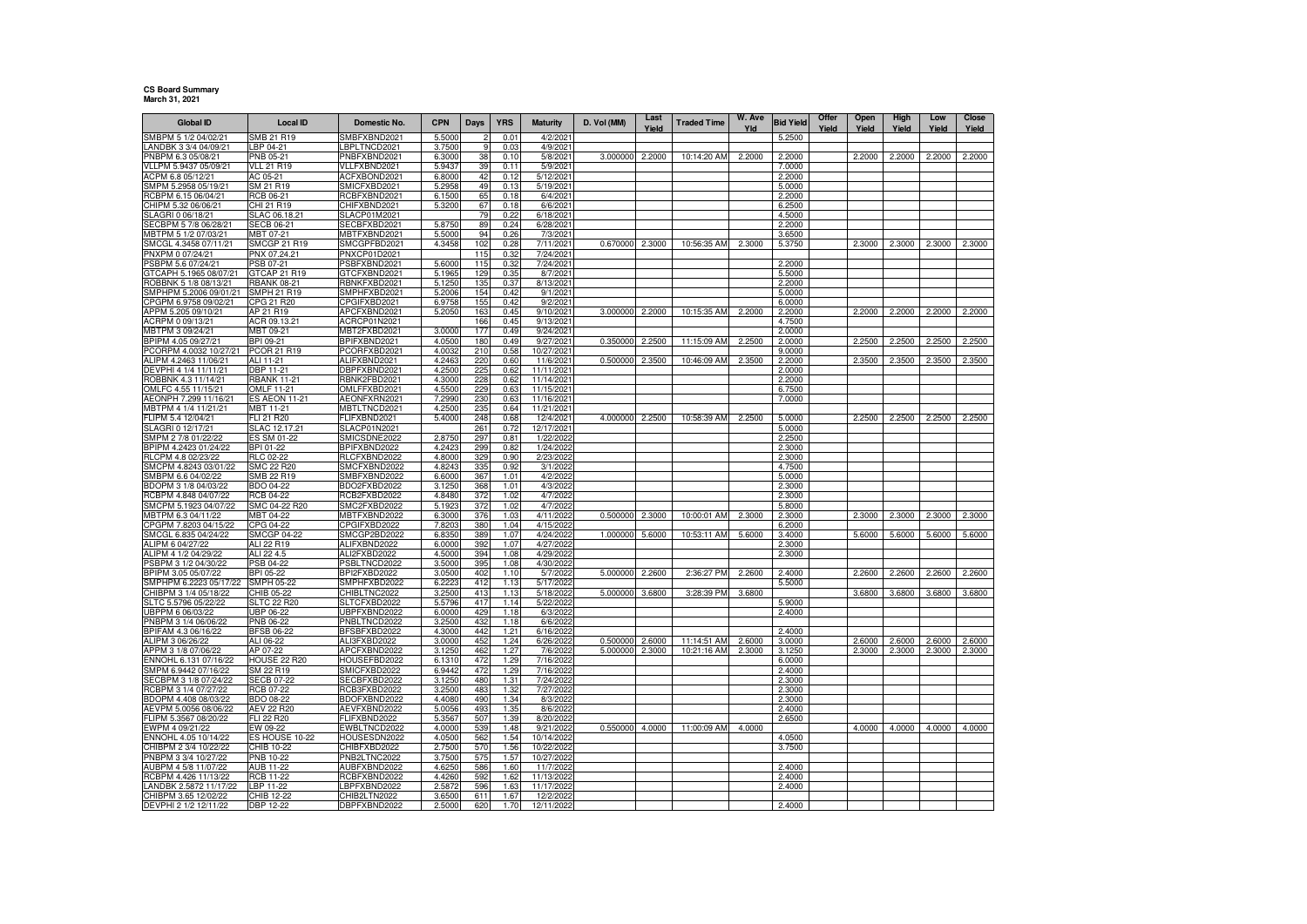## **CS Board SummaryMarch 31, 2021**

| Global ID                                     | <b>Local ID</b>                       | Domestic No.                 | <b>CPN</b>       | Days       | <b>YRS</b>    | <b>Maturity</b>          | D. Vol (MM) | Last<br>Yield | <b>Traded Time</b> | W. Ave<br>Yld | <b>Bid Yield</b> | Offer<br>Yield | Open<br>Yield | High<br>Yield | Low<br>Yield | Close<br>Yield |
|-----------------------------------------------|---------------------------------------|------------------------------|------------------|------------|---------------|--------------------------|-------------|---------------|--------------------|---------------|------------------|----------------|---------------|---------------|--------------|----------------|
| SMBPM 5 1/2 04/02/21                          | SMB 21 R19                            | SMBFXBND2021                 | 5.5000           |            | $0.0^{\circ}$ | 4/2/202                  |             |               |                    |               | 5.2500           |                |               |               |              |                |
| ANDBK 3 3/4 04/09/21                          | LBP 04-21                             | BPLTNCD2021                  | 3.7500           | 9          | 0.03          | 4/9/202                  |             |               |                    |               |                  |                |               |               |              |                |
| PNBPM 6.3 05/08/21                            | PNB 05-21                             | PNBFXBND2021                 | 6.3000           | 38         | 0.10          | 5/8/202                  | 3.000000    | 2.2000        | 10:14:20 AM        | 2.2000        | 2.2000           |                | 2.2000        | 2.2000        | 2.2000       | 2.2000         |
| VLLPM 5.9437 05/09/21                         | <b>VLL 21 R19</b>                     | VLLFXBND2021                 | 5.9437           | 39         | 0.11          | 5/9/2021                 |             |               |                    |               | 7.0000           |                |               |               |              |                |
| ACPM 6.8 05/12/21                             | AC 05-21                              | ACFXBOND2021                 | 6.8000           | 42         | 0.12          | 5/12/202                 |             |               |                    |               | 2.2000           |                |               |               |              |                |
| SMPM 5.2958 05/19/21<br>RCBPM 6.15 06/04/21   | SM 21 R19<br><b>RCB 06-21</b>         | SMICFXBD2021<br>RCBFXBND2021 | 5.295<br>6.1500  | 49<br>65   | 0.13<br>0.18  | 5/19/202<br>6/4/202      |             |               |                    |               | 5.0000<br>2.2000 |                |               |               |              |                |
| CHIPM 5.32 06/06/21                           | CHI 21 R19                            | CHIFXBND2021                 | 5.3200           | 67         | 0.18          | 6/6/202                  |             |               |                    |               | 6.2500           |                |               |               |              |                |
| SLAGRI 0 06/18/21                             | SLAC 06.18.21                         | SLACP01M2021                 |                  | 79         | 0.22          | 6/18/202                 |             |               |                    |               | 4.5000           |                |               |               |              |                |
| SECBPM 5 7/8 06/28/21                         | <b>SECB 06-21</b>                     | SECBFXBD2021                 | 5.8750           | 89         | 0.24          | 6/28/202                 |             |               |                    |               | 2.2000           |                |               |               |              |                |
| MBTPM 5 1/2 07/03/21                          | MBT 07-21                             | MBTFXBND2021                 | 5.5000           | 94         | 0.26          | 7/3/2021                 |             |               |                    |               | 3.6500           |                |               |               |              |                |
| SMCGL 4.3458 07/11/21                         | <b>SMCGP 21 R19</b>                   | SMCGPFBD2021                 | 4.3458           | 102        | 0.28          | 7/11/2021                | 0.670000    | 2.3000        | 10:56:35 AM        | 2.3000        | 5.3750           |                | 2.3000        | 2.3000        | 2.3000       | 2.3000         |
| PNXPM 0 07/24/21<br>PSBPM 5.6 07/24/21        | PNX 07.24.21<br>PSB 07-21             | PNXCP01D2021<br>PSBFXBND2021 | 5.6000           | 115<br>115 | 0.32<br>0.32  | 7/24/202<br>7/24/2021    |             |               |                    |               | 2.2000           |                |               |               |              |                |
| GTCAPH 5.1965 08/07/21                        | GTCAP 21 R19                          | GTCFXBND2021                 | 5.1965           | 129        | 0.35          | 8/7/202                  |             |               |                    |               | 5.5000           |                |               |               |              |                |
| ROBBNK 5 1/8 08/13/21                         | <b>RBANK 08-21</b>                    | RBNKFXBD2021                 | 5.1250           | 135        | 0.37          | 8/13/2021                |             |               |                    |               | 2.2000           |                |               |               |              |                |
| SMPHPM 5.2006 09/01/21                        | SMPH 21 R19                           | SMPHFXBD2021                 | 5.2006           | 154        | 0.42          | 9/1/2021                 |             |               |                    |               | 5.0000           |                |               |               |              |                |
| CPGPM 6.9758 09/02/21                         | CPG 21 R20                            | CPGIFXBD2021                 | 6.9758           | 155        | 0.42          | 9/2/202                  |             |               |                    |               | 6.0000           |                |               |               |              |                |
| APPM 5.205 09/10/21                           | AP 21 R19                             | APCFXBND2021                 | 5.2050           | 163        | 0.45          | 9/10/202                 | 3.000000    | 2.2000        | 10:15:35 AM        | 2.2000        | 2.2000           |                | 2.2000        | 2.2000        | 2.2000       | 2.2000         |
| ACRPM 0 09/13/21<br>MBTPM 3 09/24/21          | ACR 09.13.21<br>MBT 09-21             | ACRCP01N2021<br>MBT2FXBD2021 | 3.0000           | 166<br>177 | 0.45<br>0.49  | 9/13/202<br>9/24/202     |             |               |                    |               | 4.7500<br>2.0000 |                |               |               |              |                |
| BPIPM 4.05 09/27/21                           | BPI 09-21                             | BPIFXBND2021                 | 4.0500           | 180        | 0.49          | 9/27/202                 | 0.350000    | 2.2500        | 11:15:09 AM        | 2.2500        | 2.0000           |                | 2.2500        | 2.2500        | 2.2500       | 2.2500         |
| PCORPM 4.0032 10/27/21                        | PCOR 21 R19                           | PCORFXBD2021                 | 4.0032           | 210        | 0.58          | 10/27/2021               |             |               |                    |               | 9.0000           |                |               |               |              |                |
| ALIPM 4.2463 11/06/21                         | ALI 11-21                             | ALIFXBND2021                 | 4.2463           | 220        | 0.60          | 11/6/2021                | 0.500000    | 2.3500        | 10:46:09 AM        | 2.3500        | 2.2000           |                | 2.3500        | 2.3500        | 2.3500       | 2.3500         |
| DEVPHI 4 1/4 11/11/21                         | DBP 11-21                             | DBPFXBND2021                 | 4.2500           | 225        | 0.62          | 11/11/2021               |             |               |                    |               | 2.0000           |                |               |               |              |                |
| ROBBNK 4.3 11/14/21                           | <b>RBANK 11-21</b>                    | RBNK2FBD2021                 | 4.3000           | 228        | 0.62          | 11/14/2021               |             |               |                    |               | 2.2000           |                |               |               |              |                |
| OMLFC 4.55 11/15/21                           | <b>OMLF 11-21</b>                     | OMLFFXBD2021                 | 4.5500           | 229        | 0.63          | 11/15/2021               |             |               |                    |               | 6.7500           |                |               |               |              |                |
| AEONPH 7.299 11/16/21<br>MBTPM 4 1/4 11/21/21 | <b>ES AEON 11-21</b><br>MBT 11-21     | AEONFXRN2021<br>MBTLTNCD2021 | 7.2990<br>4.2500 | 230<br>235 | 0.63<br>0.64  | 11/16/2021<br>11/21/2021 |             |               |                    |               | 7.0000           |                |               |               |              |                |
| FLIPM 5.4 12/04/21                            | FLI 21 R20                            | FLIFXBND2021                 | 5.4000           | 248        | 0.68          | 12/4/2021                | 4.000000    | 2.2500        | 10:58:39 AM        | 2.2500        | 5.0000           |                | 2.2500        | 2.2500        | 2.2500       | 2.2500         |
| SLAGRI 0 12/17/21                             | SLAC 12.17.21                         | SLACP01N2021                 |                  | 261        | 0.72          | 12/17/202                |             |               |                    |               | 5.0000           |                |               |               |              |                |
| SMPM 2 7/8 01/22/22                           | ES SM 01-22                           | SMICSDNE2022                 | 2.8750           | 297        | 0.81          | 1/22/2022                |             |               |                    |               | 2.2500           |                |               |               |              |                |
| BPIPM 4.2423 01/24/22                         | BPI 01-22                             | BPIFXBND2022                 | 4.2423           | 299        | 0.82          | 1/24/2022                |             |               |                    |               | 2.3000           |                |               |               |              |                |
| RLCPM 4.8 02/23/22                            | <b>RLC 02-22</b><br><b>SMC 22 R20</b> | RLCFXBND2022                 | 4.8000           | 329        | 0.90          | 2/23/2022                |             |               |                    |               | 2.3000           |                |               |               |              |                |
| SMCPM 4.8243 03/01/22<br>SMBPM 6.6 04/02/22   | SMB 22 R19                            | SMCFXBND2022<br>SMBFXBND2022 | 4.8243<br>6.6000 | 335<br>367 | 0.92<br>1.01  | 3/1/2022<br>4/2/2022     |             |               |                    |               | 4.7500<br>5.0000 |                |               |               |              |                |
| BDOPM 3 1/8 04/03/22                          | BDO 04-22                             | BDO2FXBD2022                 | 3.1250           | 368        | 1.01          | 4/3/2022                 |             |               |                    |               | 2.3000           |                |               |               |              |                |
| RCBPM 4.848 04/07/22                          | <b>RCB 04-22</b>                      | RCB2FXBD2022                 | 4.8480           | 372        | 1.02          | 4/7/2022                 |             |               |                    |               | 2.3000           |                |               |               |              |                |
| SMCPM 5.1923 04/07/22                         | SMC 04-22 R20                         | SMC2FXBD2022                 | 5.1923           | 372        | 1.02          | 4/7/2022                 |             |               |                    |               | 5.8000           |                |               |               |              |                |
| MBTPM 6.3 04/11/22                            | MBT 04-22                             | MBTFXBND2022                 | 6.3000           | 376        | 1.03          | 4/11/202                 | 0.500000    | 2.3000        | 10:00:01 AM        | 2.3000        | 2.3000           |                | 2.3000        | 2.3000        | 2.3000       | 2.3000         |
| CPGPM 7.8203 04/15/22                         | CPG 04-22                             | CPGIFXBD2022                 | 7.8203           | 380        | 1.04<br>1.07  | 4/15/202                 |             |               | 10:53:11 AM        |               | 6.2000           |                | 5.6000        | 5.6000        | 5.6000       | 5.6000         |
| SMCGL 6.835 04/24/22<br>ALIPM 6 04/27/22      | SMCGP 04-22<br>ALI 22 R19             | SMCGP2BD2022<br>ALIFXBND2022 | 6.8350<br>6.0000 | 389<br>392 | 1.07          | 4/24/2022<br>4/27/202    | 1.000000    | 5.6000        |                    | 5.6000        | 3.4000<br>2.3000 |                |               |               |              |                |
| ALIPM 4 1/2 04/29/22                          | ALI 22 4.5                            | ALI2FXBD2022                 | 4.5000           | 394        | 1.08          | 4/29/2022                |             |               |                    |               | 2.3000           |                |               |               |              |                |
| PSBPM 3 1/2 04/30/22                          | PSB 04-22                             | PSBLTNCD2022                 | 3.5000           | 395        | 1.08          | 4/30/2022                |             |               |                    |               |                  |                |               |               |              |                |
| BPIPM 3.05 05/07/22                           | BPI 05-22                             | BPI2FXBD2022                 | 3.0500           | 402        | 1.10          | 5/7/202                  | 5.000000    | 2.2600        | 2:36:27 PM         | 2.2600        | 2.4000           |                | 2.2600        | 2.2600        | 2.2600       | 2.2600         |
| SMPHPM 6.2223 05/17/22                        | SMPH 05-22                            | SMPHFXBD2022                 | 6.2223           | 412        | 1.13          | 5/17/202                 |             |               |                    |               | 5.5000           |                |               |               |              |                |
| CHIBPM 3 1/4 05/18/22<br>SLTC 5.5796 05/22/22 | CHIB 05-22<br><b>SLTC 22 R20</b>      | CHIBLTNC2022                 | 3.2500           | 413<br>417 | 1.13<br>1.14  | 5/18/2022<br>5/22/2022   | 5.000000    | 3.6800        | 3:28:39 PM         | 3.6800        |                  |                | 3.6800        | 3.6800        | 3.6800       | 3.6800         |
| UBPPM 6 06/03/22                              | UBP 06-22                             | SLTCFXBD2022<br>JBPFXBND2022 | 5.5796<br>6.0000 | 429        | 1.18          | 6/3/2022                 |             |               |                    |               | 5.9000<br>2.4000 |                |               |               |              |                |
| PNBPM 3 1/4 06/06/22                          | PNB 06-22                             | PNBLTNCD2022                 | 3.2500           | 432        | 1.18          | 6/6/2022                 |             |               |                    |               |                  |                |               |               |              |                |
| BPIFAM 4.3 06/16/22                           | <b>BFSB 06-22</b>                     | BFSBFXBD2022                 | 4.3000           | 442        | 1.21          | 6/16/202                 |             |               |                    |               | 2.4000           |                |               |               |              |                |
| ALIPM 3 06/26/22                              | ALI 06-22                             | ALI3FXBD2022                 | 3.0000           | 452        | 1.24          | 6/26/202                 | 0.500000    | 2.6000        | 11:14:51 AM        | 2.6000        | 3.0000           |                | 2.6000        | 2.6000        | 2.6000       | 2.6000         |
| APPM 3 1/8 07/06/22                           | AP 07-22                              | APCFXBND2022                 | 3.1250           | 462        | 1.27          | 7/6/2022                 | 5.000000    | 2.3000        | 10:21:16 AM        | 2.3000        | 3.1250           |                | 2.3000        | 2.3000        | 2.3000       | 2.3000         |
| ENNOHL 6.131 07/16/22                         | <b>HOUSE 22 R20</b>                   | HOUSEFBD2022                 | 6.1310           | 472        | 1.29          | 7/16/202                 |             |               |                    |               | 6.0000           |                |               |               |              |                |
| SMPM 6.9442 07/16/22<br>SECBPM 3 1/8 07/24/22 | SM 22 R19<br><b>SECB 07-22</b>        | SMICFXBD2022<br>SECBFXBD2022 | 6.9442<br>3.1250 | 472<br>480 | 1.29<br>1.31  | 7/16/2022<br>7/24/2022   |             |               |                    |               | 2.4000<br>2.3000 |                |               |               |              |                |
| RCBPM 3 1/4 07/27/22                          | <b>RCB 07-22</b>                      | RCB3FXBD2022                 | 3.2500           | 483        | 1.32          | 7/27/2022                |             |               |                    |               | 2.3000           |                |               |               |              |                |
| BDOPM 4.408 08/03/22                          | <b>BDO 08-22</b>                      | BDOFXBND2022                 | 4.4080           | 490        | 1.34          | 8/3/2022                 |             |               |                    |               | 2.3000           |                |               |               |              |                |
| AEVPM 5.0056 08/06/22                         | AEV 22 R20                            | AEVFXBND2022                 | 5.0056           | 493        | 1.35          | 8/6/2022                 |             |               |                    |               | 2.4000           |                |               |               |              |                |
| FLIPM 5.3567 08/20/22                         | FLI 22 R20                            | FLIFXBND2022                 | 5.3567           | 507        | 1.39          | 8/20/2022                |             |               |                    |               | 2.6500           |                |               |               |              |                |
| EWPM 4 09/21/22                               | EW 09-22                              | EWBLTNCD2022                 | 4.0000           | 539        | 1.48          | 9/21/2022                | 0.550000    | 4.0000        | 11:00:09 AM        | 4.0000        |                  |                | 4.0000        | 4.0000        | 4.0000       | 4.0000         |
| ENNOHL 4.05 10/14/22<br>CHIBPM 2 3/4 10/22/22 | ES HOUSE 10-22<br>CHIB 10-22          | HOUSESDN2022<br>CHIBFXBD2022 | 4.0500<br>2.7500 | 562<br>570 | 1.54<br>1.56  | 10/14/2022<br>10/22/2022 |             |               |                    |               | 4.0500<br>3.7500 |                |               |               |              |                |
| PNBPM 3 3/4 10/27/22                          | PNB 10-22                             | PNB2LTNC2022                 | 3.7500           | 575        | 1.57          | 10/27/202                |             |               |                    |               |                  |                |               |               |              |                |
| AUBPM 4 5/8 11/07/22                          | AUB 11-22                             | AUBFXBND2022                 | 4.6250           | 586        | 1.60          | 11/7/202                 |             |               |                    |               | 2.4000           |                |               |               |              |                |
| RCBPM 4.426 11/13/22                          | RCB 11-22                             | RCBFXBND2022                 | 4.4260           | 592        | 1.62          | 11/13/2022               |             |               |                    |               | 2.4000           |                |               |               |              |                |
| LANDBK 2.5872 11/17/22                        | LBP 11-22                             | BPFXBND2022-                 | 2.5872           | 596        | 1.63          | 11/17/202                |             |               |                    |               | 2.4000           |                |               |               |              |                |
| CHIBPM 3.65 12/02/22                          | CHIB 12-22                            | CHIB2LTN2022                 | 3.6500           | 611        | 1.67          | 12/2/2022                |             |               |                    |               |                  |                |               |               |              |                |
| DEVPHI 2 1/2 12/11/22                         | DBP 12-22                             | DBPFXBND2022                 | 2.5000           | 620        | 1.70          | 12/11/2022               |             |               |                    |               | 2.4000           |                |               |               |              |                |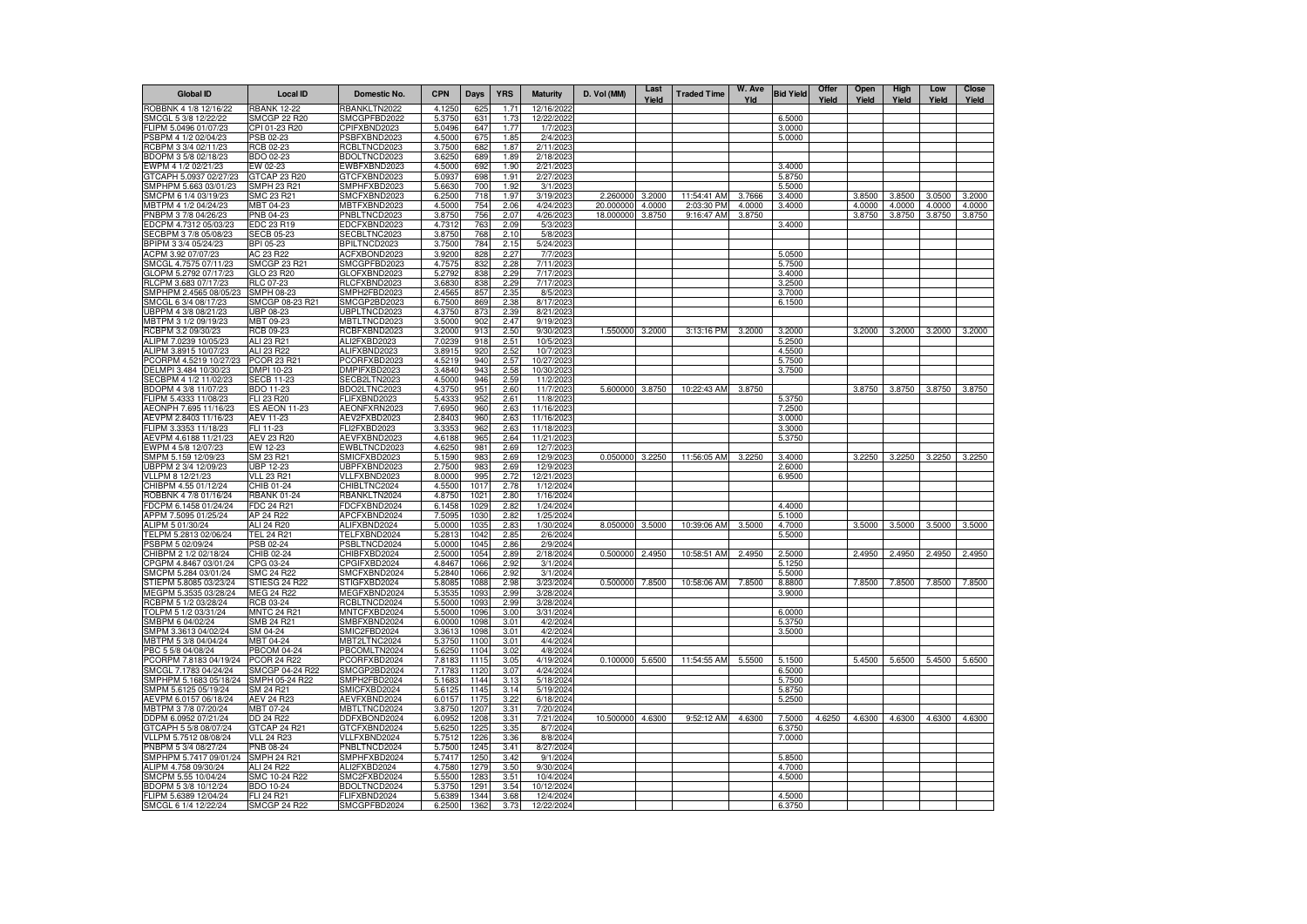| <b>Global ID</b>                               | <b>Local ID</b>                  | Domestic No.                 | <b>CPN</b>       | <b>Days</b>  | <b>YRS</b>   | <b>Maturity</b>         | D. Vol (MM)     | Last<br>Yield | <b>Traded Time</b> | W. Ave<br>Yld | <b>Bid Yield</b> | Offer<br>Yield | Open<br>Yield | High<br>Yield | Low<br>Yield  | <b>Close</b><br>Yield |
|------------------------------------------------|----------------------------------|------------------------------|------------------|--------------|--------------|-------------------------|-----------------|---------------|--------------------|---------------|------------------|----------------|---------------|---------------|---------------|-----------------------|
| ROBBNK 4 1/8 12/16/22                          | <b>RBANK 12-22</b>               | RBANKLTN2022                 | 4.1250           | 625          | 1.71         | 12/16/2022              |                 |               |                    |               |                  |                |               |               |               |                       |
| SMCGL 5 3/8 12/22/22                           | <b>SMCGP 22 R20</b>              | SMCGPFBD2022                 | 5.3750           | 631          | 1.73         | 12/22/2022              |                 |               |                    |               | 6.5000           |                |               |               |               |                       |
| FLIPM 5.0496 01/07/23<br>PSBPM 4 1/2 02/04/23  | CPI 01-23 R20<br>PSB 02-23       | CPIFXBND2023<br>PSBFXBND2023 | 5.0496<br>4.5000 | 647<br>675   | 1.77<br>1.85 | 1/7/2023<br>2/4/2023    |                 |               |                    |               | 3.0000<br>5.0000 |                |               |               |               |                       |
| RCBPM 3 3/4 02/11/23                           | RCB 02-23                        | RCBLTNCD2023                 | 3.7500           | 682          | 1.87         | 2/11/2023               |                 |               |                    |               |                  |                |               |               |               |                       |
| BDOPM 3 5/8 02/18/23                           | BDO 02-23                        | BDOLTNCD2023                 | 3.6250           | 689          | 1.89         | 2/18/2023               |                 |               |                    |               |                  |                |               |               |               |                       |
| EWPM 4 1/2 02/21/23                            | EW 02-23                         | EWBFXBND2023                 | 4.5000           | 692          | 1.90         | 2/21/2023               |                 |               |                    |               | 3.4000           |                |               |               |               |                       |
| GTCAPH 5.0937 02/27/23                         | GTCAP 23 R20                     | GTCFXBND2023                 | 5.0937           | 698<br>700   | 1.91         | 2/27/2023               |                 |               |                    |               | 5.8750           |                |               |               |               |                       |
| SMPHPM 5.663 03/01/23<br>SMCPM 6 1/4 03/19/23  | SMPH 23 R21<br>SMC 23 R21        | SMPHFXBD2023<br>SMCFXBND2023 | 5.6630<br>6.2500 | 718          | 1.92<br>1.97 | 3/1/2023<br>3/19/2023   | 2.260000        | 3.2000        | 11:54:41 AM        | 3.7666        | 5.5000<br>3.4000 |                | 3.8500        | 3.8500        | 3.0500        | 3.2000                |
| MBTPM 4 1/2 04/24/23                           | MBT 04-23                        | MBTFXBND2023                 | 4.5000           | 754          | 2.06         | 4/24/2023               | 20.000000       | 4.0000        | 2:03:30 PM         | 4.0000        | 3.4000           |                | 4.0000        | 4.0000        | 4.0000        | 4.0000                |
| PNBPM 3 7/8 04/26/23                           | PNB 04-23                        | PNBLTNCD2023                 | 3.8750           | 756          | 2.07         | 4/26/2023               | 18.000000       | 3.8750        | 9:16:47 AM         | 3.8750        |                  |                | 3.8750        | 3.8750        | 3.8750        | 3.8750                |
| EDCPM 4.7312 05/03/23                          | EDC 23 R19                       | EDCFXBND2023                 | 4.7312           | 763          | 2.09         | 5/3/2023                |                 |               |                    |               | 3.4000           |                |               |               |               |                       |
| SECBPM 3 7/8 05/08/23                          | <b>SECB 05-23</b>                | SECBLTNC2023                 | 3.8750           | 768          | 2.10         | 5/8/2023                |                 |               |                    |               |                  |                |               |               |               |                       |
| BPIPM 3 3/4 05/24/23<br>ACPM 3.92 07/07/23     | BPI 05-23<br>AC 23 R22           | BPILTNCD2023<br>ACFXBOND2023 | 3.7500<br>3.9200 | 784<br>828   | 2.15<br>2.27 | 5/24/2023<br>7/7/2023   |                 |               |                    |               | 5.0500           |                |               |               |               |                       |
| SMCGL 4.7575 07/11/23                          | <b>SMCGP 23 R21</b>              | SMCGPFBD2023                 | 4.7575           | 832          | 2.28         | 7/11/2023               |                 |               |                    |               | 5.7500           |                |               |               |               |                       |
| GLOPM 5.2792 07/17/23                          | GLO 23 R20                       | GLOFXBND2023                 | 5.2792           | 838          | 2.29         | 7/17/2023               |                 |               |                    |               | 3.4000           |                |               |               |               |                       |
| RLCPM 3.683 07/17/23                           | RLC 07-23                        | RLCFXBND2023                 | 3.6830           | 838          | 2.29         | 7/17/202                |                 |               |                    |               | 3.2500           |                |               |               |               |                       |
| SMPHPM 2.4565 08/05/23                         | SMPH 08-23                       | SMPH2FBD2023                 | 2.456            | 857          | 2.35         | 8/5/202                 |                 |               |                    |               | 3.7000           |                |               |               |               |                       |
| SMCGL 6 3/4 08/17/23                           | SMCGP 08-23 R21                  | SMCGP2BD2023                 | 6.7500           | 869          | 2.38         | 8/17/202                |                 |               |                    |               | 6.1500           |                |               |               |               |                       |
| UBPPM 4 3/8 08/21/23<br>MBTPM 3 1/2 09/19/23   | JBP 08-23<br>MBT 09-23           | JBPLTNCD2023<br>MBTLTNCD2023 | 4.3750<br>3.5000 | 873<br>902   | 2.39<br>2.47 | 8/21/202<br>9/19/202    |                 |               |                    |               |                  |                |               |               |               |                       |
| RCBPM 3.2 09/30/23                             | <b>RCB 09-23</b>                 | RCBFXBND2023                 | 3.2000           | 913          | 2.50         | 9/30/2023               | 1.550000        | 3.2000        | 3:13:16 PM         | 3.2000        | 3.2000           |                | 3.2000        | 3.2000        | 3.2000        | 3.2000                |
| ALIPM 7.0239 10/05/23                          | ALI 23 R21                       | ALI2FXBD2023                 | 7.0239           | 918          | 2.51         | 10/5/202                |                 |               |                    |               | 5.2500           |                |               |               |               |                       |
| ALIPM 3.8915 10/07/23                          | ALI 23 R22                       | ALIFXBND2023                 | 3.8915           | 920          | 2.52         | 10/7/2023               |                 |               |                    |               | 4.5500           |                |               |               |               |                       |
| PCORPM 4.5219 10/27/23                         | PCOR 23 R21                      | PCORFXBD2023                 | 4.5219           | 940          | 2.57         | 10/27/202               |                 |               |                    |               | 5.7500           |                |               |               |               |                       |
| DELMPI 3.484 10/30/23<br>SECBPM 4 1/2 11/02/23 | DMPI 10-23<br><b>SECB 11-23</b>  | DMPIFXBD2023                 | 3.4840<br>4.5000 | 943<br>946   | 2.58<br>2.59 | 10/30/202<br>11/2/2023  |                 |               |                    |               | 3.7500           |                |               |               |               |                       |
| BDOPM 4 3/8 11/07/23                           | BDO 11-23                        | SECB2LTN2023<br>BDO2LTNC2023 | 4.3750           | 951          | 2.60         | 11/7/2023               | 5.600000        | 3.8750        | 10:22:43 AM        | 3.8750        |                  |                | 3.8750        | 3.8750        | 3.8750        | 3.8750                |
| FLIPM 5.4333 11/08/23                          | FLI 23 R20                       | FLIFXBND2023                 | 5.433            | 952          | 2.61         | 11/8/202                |                 |               |                    |               | 5.3750           |                |               |               |               |                       |
| AEONPH 7.695 11/16/23                          | <b>ES AEON 11-23</b>             | AEONFXRN2023                 | 7.6950           | 960          | 2.63         | 11/16/2023              |                 |               |                    |               | 7.2500           |                |               |               |               |                       |
| AEVPM 2.8403 11/16/23                          | AEV 11-23                        | AEV2FXBD2023                 | 2.8403           | 960          | 2.63         | 11/16/2023              |                 |               |                    |               | 3.0000           |                |               |               |               |                       |
| FLIPM 3.3353 11/18/23                          | FLI 11-23                        | FLI2FXBD2023                 | 3.335            | 962          | 2.63         | 11/18/202               |                 |               |                    |               | 3.3000           |                |               |               |               |                       |
| AEVPM 4.6188 11/21/23<br>EWPM 4 5/8 12/07/23   | <b>AEV 23 R20</b><br>EW 12-23    | AEVFXBND2023<br>EWBLTNCD2023 | 4.6188<br>4.6250 | 965<br>981   | 2.64<br>2.69 | 11/21/2023<br>12/7/2023 |                 |               |                    |               | 5.3750           |                |               |               |               |                       |
| SMPM 5.159 12/09/23                            | SM 23 R21                        | SMICFXBD2023                 | 5.1590           | 983          | 2.69         | 12/9/2023               | 0.050000        | 3.2250        | 11:56:05 AM        | 3.2250        | 3.4000           |                | 3.2250        | 3.2250        | 3.2250        | 3.2250                |
| UBPPM 2 3/4 12/09/23                           | <b>UBP 12-23</b>                 | JBPFXBND2023                 | 2.7500           | 983          | 2.69         | 12/9/202                |                 |               |                    |               | 2.6000           |                |               |               |               |                       |
| VLLPM 8 12/21/23                               | <b>VLL 23 R21</b>                | VLLFXBND2023                 | 8.0000           | 995          | 2.72         | 12/21/2023              |                 |               |                    |               | 6.9500           |                |               |               |               |                       |
| CHIBPM 4.55 01/12/24                           | CHIB 01-24                       | CHIBLTNC2024                 | 4.5500           | 1017         | 2.78         | 1/12/2024               |                 |               |                    |               |                  |                |               |               |               |                       |
| ROBBNK 4 7/8 01/16/24                          | <b>RBANK 01-24</b>               | RBANKLTN2024                 | 4.8750           | 1021         | 2.80         | 1/16/2024               |                 |               |                    |               |                  |                |               |               |               |                       |
| FDCPM 6.1458 01/24/24<br>APPM 7.5095 01/25/24  | FDC 24 R21<br>AP 24 R22          | FDCFXBND2024<br>APCFXBND2024 | 6.1458<br>7.5095 | 1029<br>1030 | 2.82<br>2.82 | 1/24/2024<br>1/25/2024  |                 |               |                    |               | 4.4000<br>5.1000 |                |               |               |               |                       |
| ALIPM 5 01/30/24                               | ALI 24 R20                       | ALIFXBND2024                 | 5.0000           | 1035         | 2.83         | 1/30/2024               | 8.050000        | 3.5000        | 10:39:06 AM        | 3.5000        | 4.7000           |                | 3.5000        | 3.5000        | 3.5000        | 3.5000                |
| TELPM 5.2813 02/06/24                          | TEL 24 R21                       | TELFXBND2024                 | 5.2813           | 1042         | 2.85         | 2/6/202                 |                 |               |                    |               | 5.5000           |                |               |               |               |                       |
| PSBPM 5 02/09/24                               | PSB 02-24                        | PSBLTNCD2024                 | 5.0000           | 1045         | 2.86         | 2/9/2024                |                 |               |                    |               |                  |                |               |               |               |                       |
| CHIBPM 2 1/2 02/18/24                          | CHIB 02-24                       | CHIBFXBD2024                 | 2.5000           | 1054         | 2.89         | 2/18/2024               | 0.500000        | 2.4950        | 10:58:51 AM        | 2.4950        | 2.5000           |                | 2.4950        | 2.4950        | 2.4950        | 2.4950                |
| CPGPM 4.8467 03/01/24<br>SMCPM 5.284 03/01/24  | CPG 03-24<br>SMC 24 R22          | CPGIFXBD2024<br>SMCFXBND2024 | 4.846<br>5.2840  | 1066<br>1066 | 2.92<br>2.92 | 3/1/202<br>3/1/2024     |                 |               |                    |               | 5.1250<br>5.5000 |                |               |               |               |                       |
| STIEPM 5.8085 03/23/24                         | STIESG 24 R22                    | STIGFXBD2024                 | 5.8085           | 1088         | 2.98         | 3/23/2024               | 0.500000        | 7,8500        | 10:58:06 AM        | 7.8500        | 8.8800           |                | 7.8500        | 7.8500        | 7.8500        | 7.8500                |
| MEGPM 5.3535 03/28/24                          | MEG 24 R22                       | MEGFXBND2024                 | 5.3535           | 1093         | 2.99         | 3/28/2024               |                 |               |                    |               | 3.9000           |                |               |               |               |                       |
| RCBPM 5 1/2 03/28/24                           | <b>RCB 03-24</b>                 | RCBLTNCD2024                 | 5.5000           | 1093         | 2.99         | 3/28/2024               |                 |               |                    |               |                  |                |               |               |               |                       |
| TOLPM 5 1/2 03/31/24                           | <b>MNTC 24 R21</b>               | MNTCFXBD2024                 | 5.5000           | 1096         | 3.00         | 3/31/2024               |                 |               |                    |               | 6.0000           |                |               |               |               |                       |
| SMBPM 6 04/02/24                               | SMB 24 R21                       | SMBFXBND2024                 | 6.0000           | 1098         | 3.01         | 4/2/2024                |                 |               |                    |               | 5.3750           |                |               |               |               |                       |
| SMPM 3.3613 04/02/24<br>MBTPM 5 3/8 04/04/24   | SM 04-24<br>MBT 04-24            | SMIC2FBD2024<br>MBT2LTNC2024 | 3.3613<br>5.3750 | 1098<br>1100 | 3.01<br>3.01 | 4/2/2024<br>4/4/2024    |                 |               |                    |               | 3.5000           |                |               |               |               |                       |
| PBC 5 5/8 04/08/24                             | <b>PBCOM 04-24</b>               | PBCOMLTN2024                 | 5.6250           | 1104         | 3.02         | 4/8/2024                |                 |               |                    |               |                  |                |               |               |               |                       |
| PCORPM 7.8183 04/19/24                         | <b>PCOR 24 R22</b>               | PCORFXBD2024                 | 7.8183           | 1115         | 3.05         | 4/19/2024               | 0.100000 5.6500 |               | 11:54:55 AM        | 5.5500        | 5.1500           |                | 5.4500        |               | 5.6500 5.4500 | 5.6500                |
| SMCGL 7.1783 04/24/24                          | SMCGP 04-24 R22                  | SMCGP2BD2024                 | 7.1783           | 1120         | 3.07         | 4/24/2024               |                 |               |                    |               | 6.5000           |                |               |               |               |                       |
| SMPHPM 5.1683 05/18/24                         | SMPH 05-24 R22                   | SMPH2FBD2024                 | 5.1683           | 1144         | 3.13         | 5/18/2024               |                 |               |                    |               | 5.7500           |                |               |               |               |                       |
| SMPM 5.6125 05/19/24                           | SM 24 R21                        | SMICFXBD2024                 | 5.6125           | 1145         | 3.14         | 5/19/2024               |                 |               |                    |               | 5.8750           |                |               |               |               |                       |
| AEVPM 6.0157 06/18/24<br>MBTPM 3 7/8 07/20/24  | AEV 24 R23<br>MBT 07-24          | AEVFXBND2024<br>MBTLTNCD2024 | 6.0157<br>3.8750 | 1175<br>1207 | 3.22<br>3.31 | 6/18/2024<br>7/20/2024  |                 |               |                    |               | 5.2500           |                |               |               |               |                       |
| DDPM 6.0952 07/21/24                           | <b>DD 24 R22</b>                 | DDFXBOND2024                 | 6.095            | 1208         | $3.3 -$      | 7/21/2024               | 10.500000       | 4.6300        | 9:52:12 AM         | 4.6300        | 7.5000           | 4.6250         | 4.6300        | 4.6300        | 4.6300        | 4.6300                |
| GTCAPH 5 5/8 08/07/24                          | GTCAP 24 R21                     | GTCFXBND2024                 | 5.6250           | 1225         | 3.35         | 8/7/2024                |                 |               |                    |               | 6.3750           |                |               |               |               |                       |
| VLLPM 5.7512 08/08/24                          | <b>VLL 24 R23</b>                | VLLFXBND2024                 | 5.7512           | 1226         | 3.36         | 8/8/2024                |                 |               |                    |               | 7.0000           |                |               |               |               |                       |
| PNBPM 5 3/4 08/27/24                           | <b>PNB 08-24</b>                 | PNBLTNCD2024                 | 5.7500           | 1245         | 3.41         | 8/27/2024               |                 |               |                    |               |                  |                |               |               |               |                       |
| SMPHPM 5.7417 09/01/24<br>ALIPM 4.758 09/30/24 | <b>SMPH 24 R21</b><br>ALI 24 R22 | SMPHFXBD2024<br>ALI2FXBD2024 | 5.7417<br>4.7580 | 1250<br>1279 | 3.42<br>3.50 | 9/1/2024<br>9/30/2024   |                 |               |                    |               | 5.8500<br>4.7000 |                |               |               |               |                       |
| SMCPM 5.55 10/04/24                            | SMC 10-24 R22                    | SMC2FXBD2024                 | 5.5500           | 128          | 3.51         | 10/4/2024               |                 |               |                    |               | 4.5000           |                |               |               |               |                       |
| BDOPM 5 3/8 10/12/24                           | <b>BDO 10-24</b>                 | <b>BDOLTNCD2024</b>          | 5.3750           | 129          | 3.54         | 10/12/2024              |                 |               |                    |               |                  |                |               |               |               |                       |
| FLIPM 5.6389 12/04/24                          | FLI 24 R21                       | FLIFXBND2024                 | 5.6389           | 1344         | 3.68         | 12/4/2024               |                 |               |                    |               | 4.5000           |                |               |               |               |                       |
| SMCGL 6 1/4 12/22/24                           | <b>SMCGP 24 R22</b>              | SMCGPFBD2024                 | 6.2500           | 1362         | 3.73         | 12/22/2024              |                 |               |                    |               | 6.3750           |                |               |               |               |                       |